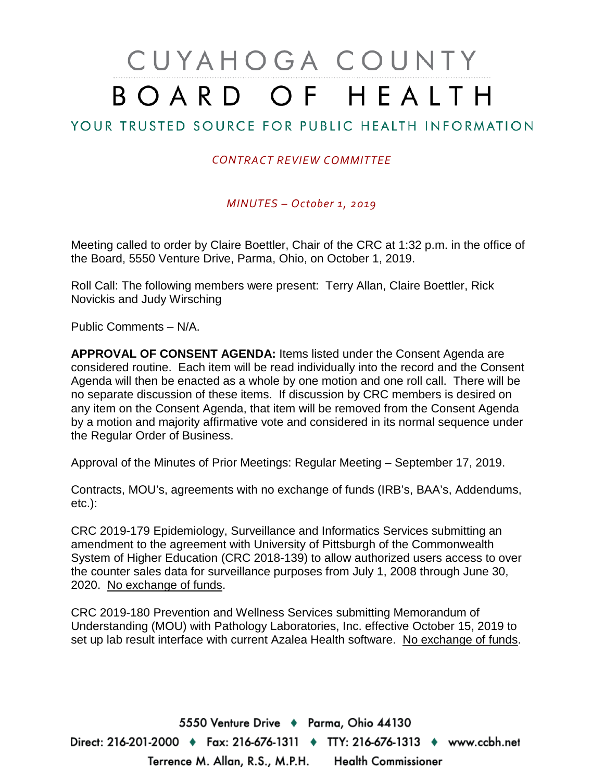# CUYAHOGA COUNTY BOARD OF HEALTH

## YOUR TRUSTED SOURCE FOR PUBLIC HEALTH INFORMATION

#### *CONTRACT REVIEW COMMITTEE*

*MINUTES – October 1, 2019*

Meeting called to order by Claire Boettler, Chair of the CRC at 1:32 p.m. in the office of the Board, 5550 Venture Drive, Parma, Ohio, on October 1, 2019.

Roll Call: The following members were present: Terry Allan, Claire Boettler, Rick Novickis and Judy Wirsching

Public Comments – N/A.

**APPROVAL OF CONSENT AGENDA:** Items listed under the Consent Agenda are considered routine. Each item will be read individually into the record and the Consent Agenda will then be enacted as a whole by one motion and one roll call. There will be no separate discussion of these items. If discussion by CRC members is desired on any item on the Consent Agenda, that item will be removed from the Consent Agenda by a motion and majority affirmative vote and considered in its normal sequence under the Regular Order of Business.

Approval of the Minutes of Prior Meetings: Regular Meeting – September 17, 2019.

Contracts, MOU's, agreements with no exchange of funds (IRB's, BAA's, Addendums, etc.):

CRC 2019-179 Epidemiology, Surveillance and Informatics Services submitting an amendment to the agreement with University of Pittsburgh of the Commonwealth System of Higher Education (CRC 2018-139) to allow authorized users access to over the counter sales data for surveillance purposes from July 1, 2008 through June 30, 2020. No exchange of funds.

CRC 2019-180 Prevention and Wellness Services submitting Memorandum of Understanding (MOU) with Pathology Laboratories, Inc. effective October 15, 2019 to set up lab result interface with current Azalea Health software. No exchange of funds.

5550 Venture Drive + Parma, Ohio 44130 Direct: 216-201-2000 ♦ Fax: 216-676-1311 ♦ TTY: 216-676-1313 ♦ www.ccbh.net Terrence M. Allan, R.S., M.P.H. Health Commissioner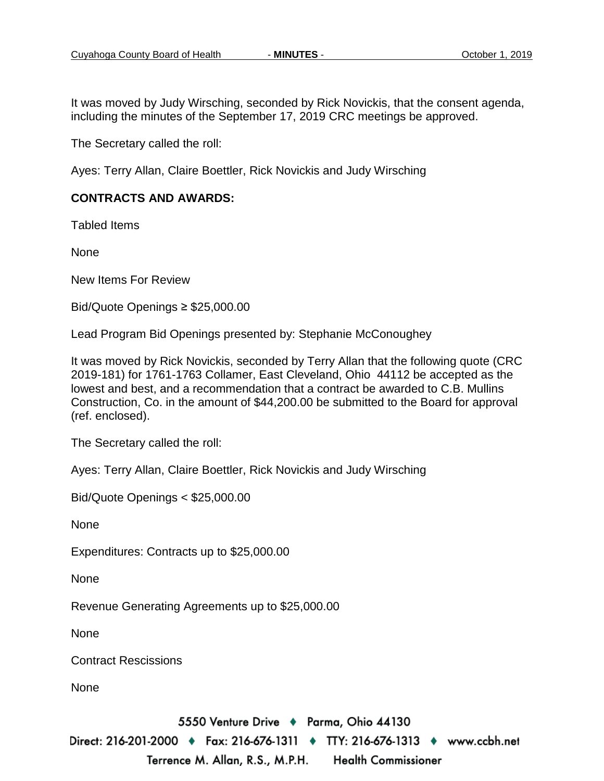It was moved by Judy Wirsching, seconded by Rick Novickis, that the consent agenda, including the minutes of the September 17, 2019 CRC meetings be approved.

The Secretary called the roll:

Ayes: Terry Allan, Claire Boettler, Rick Novickis and Judy Wirsching

#### **CONTRACTS AND AWARDS:**

Tabled Items

None

New Items For Review

Bid/Quote Openings ≥ \$25,000.00

Lead Program Bid Openings presented by: Stephanie McConoughey

It was moved by Rick Novickis, seconded by Terry Allan that the following quote (CRC 2019-181) for 1761-1763 Collamer, East Cleveland, Ohio 44112 be accepted as the lowest and best, and a recommendation that a contract be awarded to C.B. Mullins Construction, Co. in the amount of \$44,200.00 be submitted to the Board for approval (ref. enclosed).

The Secretary called the roll:

Ayes: Terry Allan, Claire Boettler, Rick Novickis and Judy Wirsching

Bid/Quote Openings < \$25,000.00

None

Expenditures: Contracts up to \$25,000.00

**None** 

Revenue Generating Agreements up to \$25,000.00

None

Contract Rescissions

None

5550 Venture Drive + Parma, Ohio 44130

Direct: 216-201-2000 ♦ Fax: 216-676-1311 ♦ TTY: 216-676-1313 ♦ www.ccbh.net Terrence M. Allan, R.S., M.P.H. **Health Commissioner**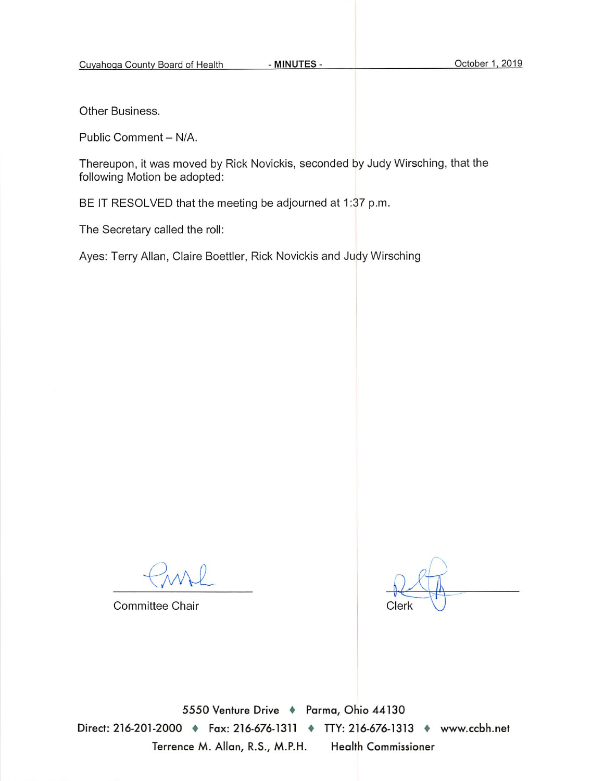Other Business.

Public Comment - N/A.

Thereupon, it was moved by Rick Novickis, seconded by Judy Wirsching, that the following Motion be adopted:

BE IT RESOLVED that the meeting be adjourned at 1:37 p.m.

The Secretary called the roll:

Ayes: Terry Allan, Claire Boettler, Rick Novickis and Judy Wirsching

Committee Chair

Clerk

5550 Venture Drive + Parma, Ohio 44130 Direct: 216-201-2000 • Fax: 216-676-1311 • TTY: 216-676-1313 • www.ccbh.net Terrence M. Allan, R.S., M.P.H. **Health Commissioner**